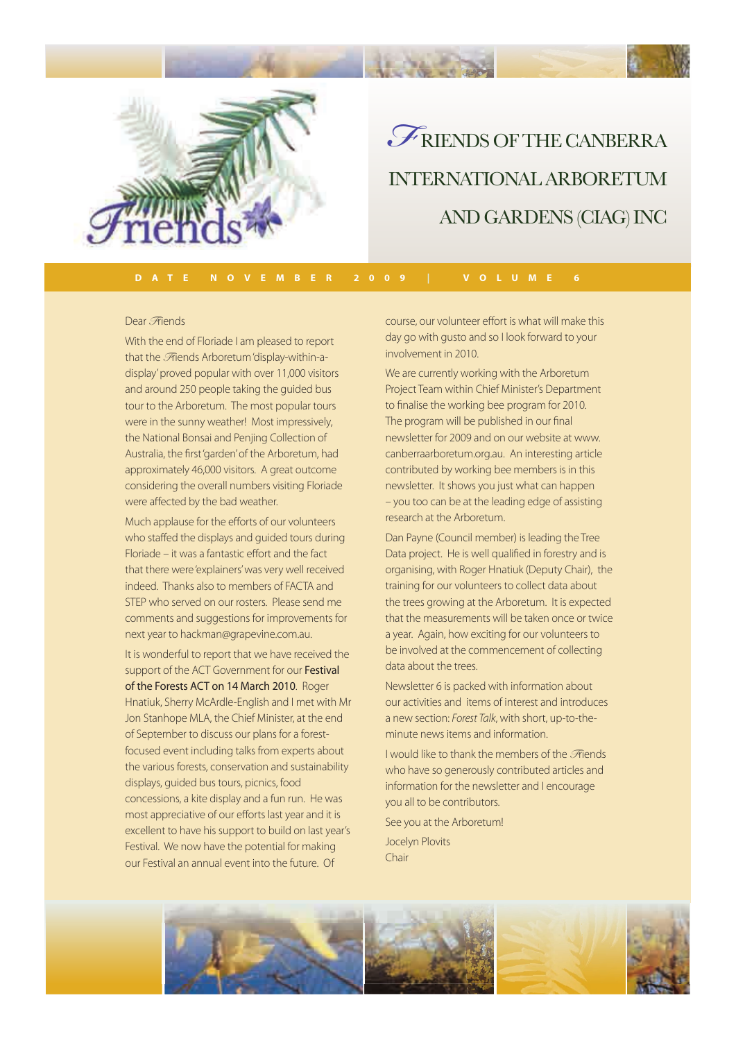

RIENDS OF THE CANBERRA INTERNATIONAL ARBORETUM AND GARDENS (CIAG) INC *F*

### Dear *F*riends

With the end of Floriade I am pleased to report that the *F*riends Arboretum 'display-within-adisplay' proved popular with over 11,000 visitors and around 250 people taking the guided bus tour to the Arboretum. The most popular tours were in the sunny weather! Most impressively, the National Bonsai and Penjing Collection of Australia, the first 'garden' of the Arboretum, had approximately 46,000 visitors. A great outcome considering the overall numbers visiting Floriade were affected by the bad weather.

Much applause for the efforts of our volunteers who staffed the displays and guided tours during Floriade – it was a fantastic effort and the fact that there were 'explainers' was very well received indeed. Thanks also to members of FACTA and STEP who served on our rosters. Please send me comments and suggestions for improvements for next year to hackman@grapevine.com.au.

It is wonderful to report that we have received the support of the ACT Government for our Festival of the Forests ACT on 14 March 2010. Roger Hnatiuk, Sherry McArdle-English and I met with Mr Jon Stanhope MLA, the Chief Minister, at the end of September to discuss our plans for a forestfocused event including talks from experts about the various forests, conservation and sustainability displays, guided bus tours, picnics, food concessions, a kite display and a fun run. He was most appreciative of our efforts last year and it is excellent to have his support to build on last year's Festival. We now have the potential for making our Festival an annual event into the future. Of

course, our volunteer effort is what will make this day go with gusto and so I look forward to your involvement in 2010.

We are currently working with the Arboretum Project Team within Chief Minister's Department to finalise the working bee program for 2010. The program will be published in our final newsletter for 2009 and on our website at www. canberraarboretum.org.au. An interesting article contributed by working bee members is in this newsletter. It shows you just what can happen – you too can be at the leading edge of assisting research at the Arboretum.

Dan Payne (Council member) is leading the Tree Data project. He is well qualified in forestry and is organising, with Roger Hnatiuk (Deputy Chair), the training for our volunteers to collect data about the trees growing at the Arboretum. It is expected that the measurements will be taken once or twice a year. Again, how exciting for our volunteers to be involved at the commencement of collecting data about the trees.

Newsletter 6 is packed with information about our activities and items of interest and introduces a new section: *Forest Talk*, with short, up-to-theminute news items and information.

I would like to thank the members of the *F*riends who have so generously contributed articles and information for the newsletter and I encourage you all to be contributors.

See you at the Arboretum! Jocelyn Plovits Chair

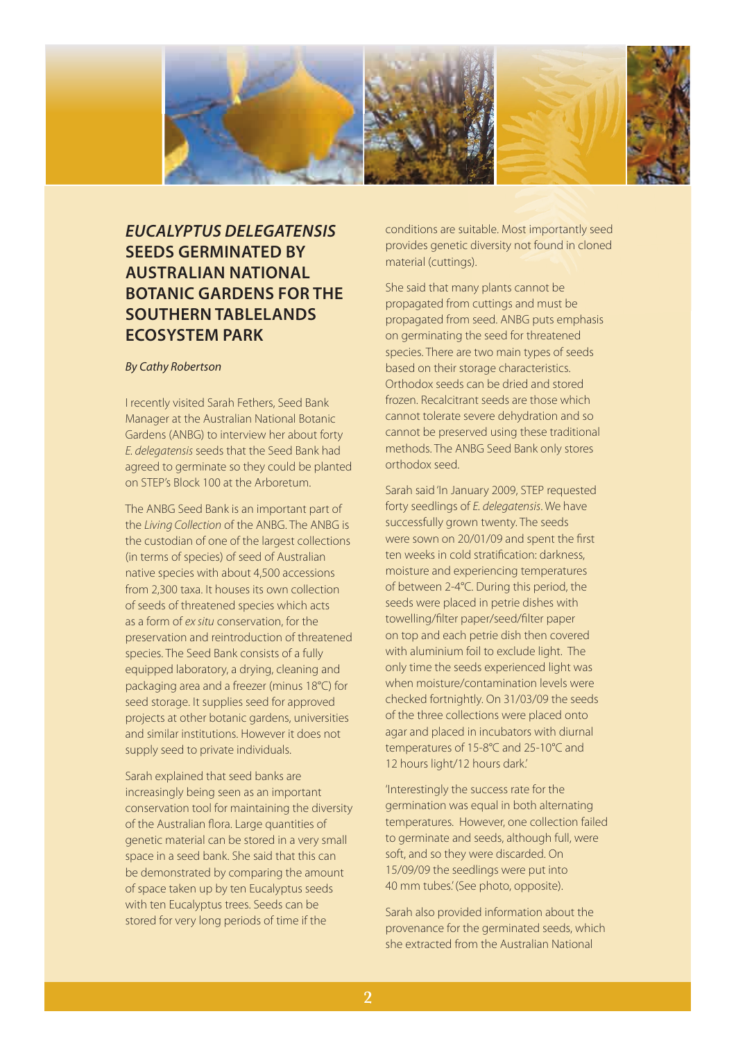

# *EUCALYPTUS DELEGATENSIS* **SEEDS GERMINATED BY AUSTRALIAN NATIONAL BOTANIC GARDENS FOR THE SOUTHERN TABLELANDS ECOSYSTEM PARK**

### *By Cathy Robertson*

I recently visited Sarah Fethers, Seed Bank Manager at the Australian National Botanic Gardens (ANBG) to interview her about forty *E. delegatensis* seeds that the Seed Bank had agreed to germinate so they could be planted on STEP's Block 100 at the Arboretum.

The ANBG Seed Bank is an important part of the *Living Collection* of the ANBG. The ANBG is the custodian of one of the largest collections (in terms of species) of seed of Australian native species with about 4,500 accessions from 2,300 taxa. It houses its own collection of seeds of threatened species which acts as a form of *ex situ* conservation, for the preservation and reintroduction of threatened species. The Seed Bank consists of a fully equipped laboratory, a drying, cleaning and packaging area and a freezer (minus 18°C) for seed storage. It supplies seed for approved projects at other botanic gardens, universities and similar institutions. However it does not supply seed to private individuals.

Sarah explained that seed banks are increasingly being seen as an important conservation tool for maintaining the diversity of the Australian flora. Large quantities of genetic material can be stored in a very small space in a seed bank. She said that this can be demonstrated by comparing the amount of space taken up by ten Eucalyptus seeds with ten Eucalyptus trees. Seeds can be stored for very long periods of time if the

conditions are suitable. Most importantly seed provides genetic diversity not found in cloned material (cuttings).

She said that many plants cannot be propagated from cuttings and must be propagated from seed. ANBG puts emphasis on germinating the seed for threatened species. There are two main types of seeds based on their storage characteristics. Orthodox seeds can be dried and stored frozen. Recalcitrant seeds are those which cannot tolerate severe dehydration and so cannot be preserved using these traditional methods. The ANBG Seed Bank only stores orthodox seed.

Sarah said 'In January 2009, STEP requested forty seedlings of *E. delegatensis*. We have successfully grown twenty. The seeds were sown on 20/01/09 and spent the first ten weeks in cold stratification: darkness, moisture and experiencing temperatures of between 2-4°C. During this period, the seeds were placed in petrie dishes with towelling/filter paper/seed/filter paper on top and each petrie dish then covered with aluminium foil to exclude light. The only time the seeds experienced light was when moisture/contamination levels were checked fortnightly. On 31/03/09 the seeds of the three collections were placed onto agar and placed in incubators with diurnal temperatures of 15-8°C and 25-10°C and 12 hours light/12 hours dark.'

'Interestingly the success rate for the germination was equal in both alternating temperatures. However, one collection failed to germinate and seeds, although full, were soft, and so they were discarded. On 15/09/09 the seedlings were put into 40 mm tubes.' (See photo, opposite).

Sarah also provided information about the provenance for the germinated seeds, which she extracted from the Australian National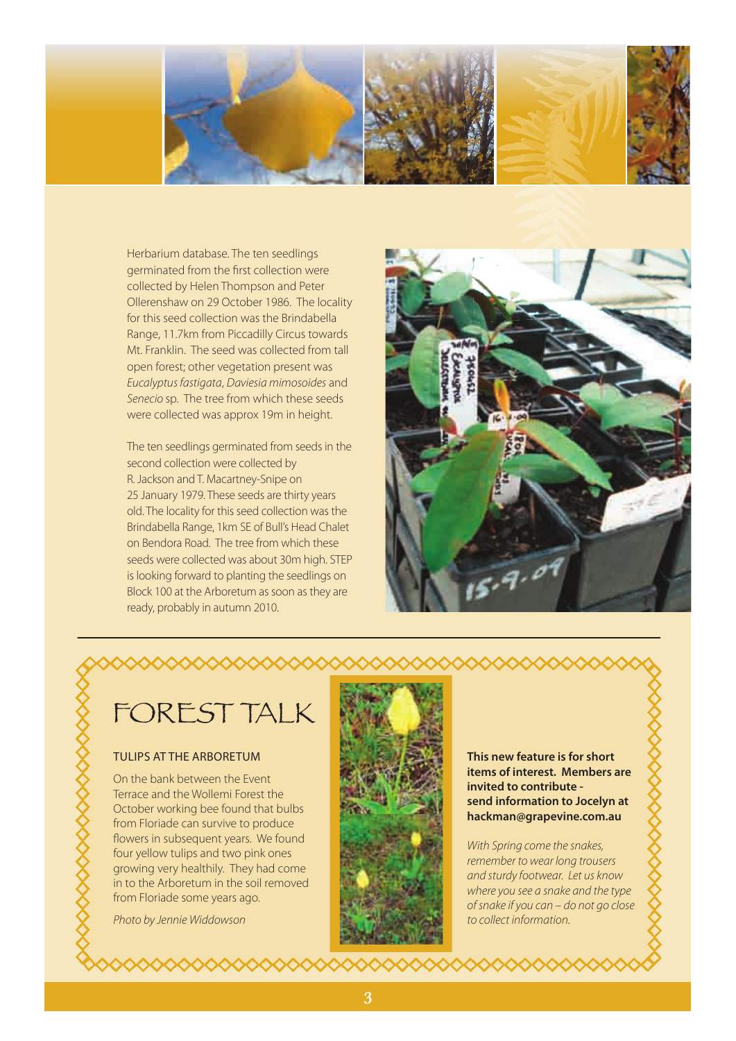

Herbarium database. The ten seedlings germinated from the first collection were collected by Helen Thompson and Peter Ollerenshaw on 29 October 1986. The locality for this seed collection was the Brindabella Range, 11.7km from Piccadilly Circus towards Mt. Franklin. The seed was collected from tall open forest; other vegetation present was *Eucalyptus fastigata*, *Daviesia mimosoides* and *Senecio* sp. The tree from which these seeds were collected was approx 19m in height.

The ten seedlings germinated from seeds in the second collection were collected by R. Jackson and T. Macartney-Snipe on 25 January 1979. These seeds are thirty years old. The locality for this seed collection was the Brindabella Range, 1km SE of Bull's Head Chalet on Bendora Road. The tree from which these seeds were collected was about 30m high. STEP is looking forward to planting the seedlings on Block 100 at the Arboretum as soon as they are ready, probably in autumn 2010.



FOREST TALK

### TULIPS AT THE ARBORETUM

On the bank between the Event Terrace and the Wollemi Forest the October working bee found that bulbs from Floriade can survive to produce flowers in subsequent years. We found four yellow tulips and two pink ones growing very healthily. They had come in to the Arboretum in the soil removed from Floriade some years ago.

*Photo by Jennie Widdowson*



**This new feature is for short items of interest. Members are invited to contribute send information to Jocelyn at hackman@grapevine.com.au**

*With Spring come the snakes, remember to wear long trousers and sturdy footwear. Let us know where you see a snake and the type of snake if you can – do not go close to collect information.*

◇◇◇◇◇◇◇◇◇◇◇◇

XXXXXXXXXXXXXXXXXXXXXX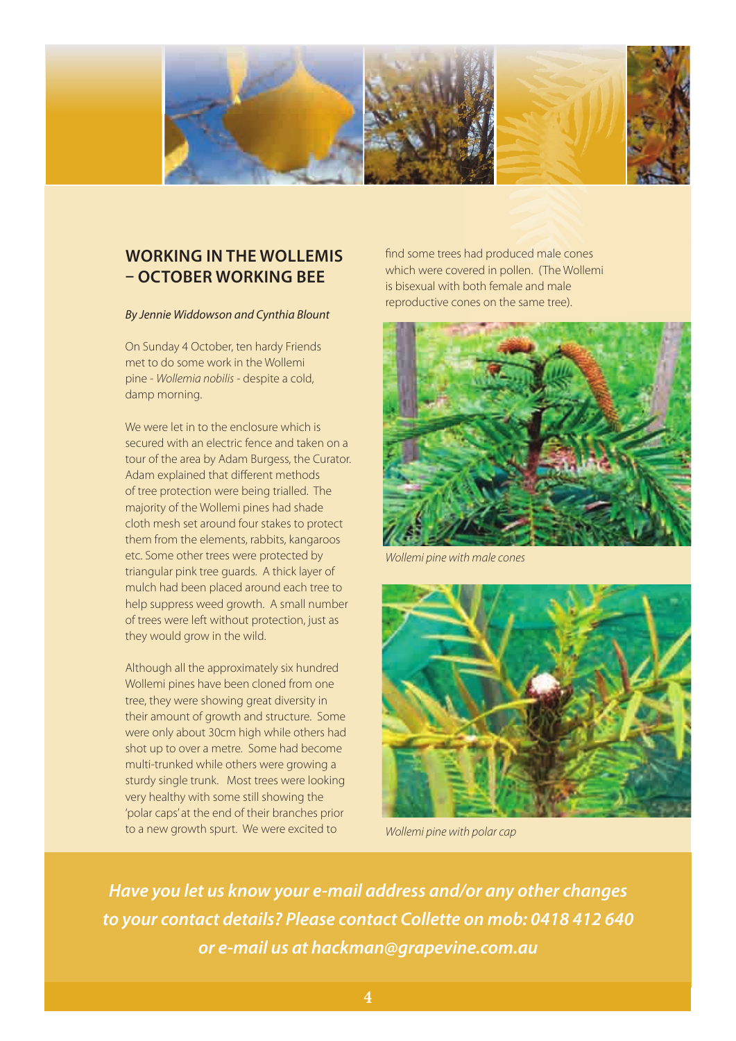

## **WORKING IN THE WOLLEMIS – OCTOBER WORKING BEE**

#### *By Jennie Widdowson and Cynthia Blount*

On Sunday 4 October, ten hardy Friends met to do some work in the Wollemi pine - *Wollemia nobilis* - despite a cold, damp morning.

We were let in to the enclosure which is secured with an electric fence and taken on a tour of the area by Adam Burgess, the Curator. Adam explained that different methods of tree protection were being trialled. The majority of the Wollemi pines had shade cloth mesh set around four stakes to protect them from the elements, rabbits, kangaroos etc. Some other trees were protected by triangular pink tree guards. A thick layer of mulch had been placed around each tree to help suppress weed growth. A small number of trees were left without protection, just as they would grow in the wild.

Although all the approximately six hundred Wollemi pines have been cloned from one tree, they were showing great diversity in their amount of growth and structure. Some were only about 30cm high while others had shot up to over a metre. Some had become multi-trunked while others were growing a sturdy single trunk. Most trees were looking very healthy with some still showing the 'polar caps' at the end of their branches prior to a new growth spurt. We were excited to

find some trees had produced male cones which were covered in pollen. (The Wollemi is bisexual with both female and male reproductive cones on the same tree).



*Wollemi pine with male cones* 



*Wollemi pine with polar cap*

*Have you let us know your e-mail address and/or any other changes to your contact details? Please contact Collette on mob: 0418 412 640 or e-mail us at hackman@grapevine.com.au*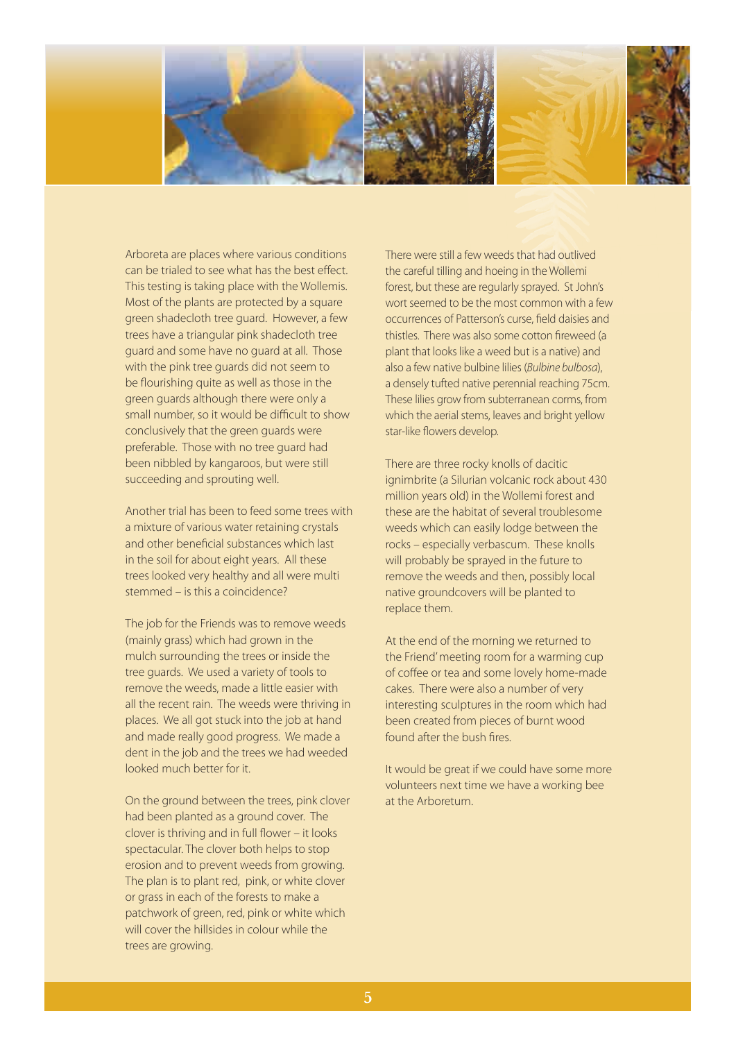

Arboreta are places where various conditions can be trialed to see what has the best effect. This testing is taking place with the Wollemis. Most of the plants are protected by a square green shadecloth tree guard. However, a few trees have a triangular pink shadecloth tree guard and some have no guard at all. Those with the pink tree guards did not seem to be flourishing quite as well as those in the green guards although there were only a small number, so it would be difficult to show conclusively that the green guards were preferable. Those with no tree guard had been nibbled by kangaroos, but were still succeeding and sprouting well.

Another trial has been to feed some trees with a mixture of various water retaining crystals and other beneficial substances which last in the soil for about eight years. All these trees looked very healthy and all were multi stemmed – is this a coincidence?

The job for the Friends was to remove weeds (mainly grass) which had grown in the mulch surrounding the trees or inside the tree guards. We used a variety of tools to remove the weeds, made a little easier with all the recent rain. The weeds were thriving in places. We all got stuck into the job at hand and made really good progress. We made a dent in the job and the trees we had weeded looked much better for it.

On the ground between the trees, pink clover had been planted as a ground cover. The  $c$ lover is thriving and in full flower – it looks spectacular. The clover both helps to stop erosion and to prevent weeds from growing. The plan is to plant red, pink, or white clover or grass in each of the forests to make a patchwork of green, red, pink or white which will cover the hillsides in colour while the trees are growing.

There were still a few weeds that had outlived the careful tilling and hoeing in the Wollemi forest, but these are regularly sprayed. St John's wort seemed to be the most common with a few occurrences of Patterson's curse, field daisies and thistles. There was also some cotton fireweed (a plant that looks like a weed but is a native) and also a few native bulbine lilies (*Bulbine bulbosa*), a densely tufted native perennial reaching 75cm. These lilies grow from subterranean corms, from which the aerial stems, leaves and bright yellow star-like flowers develop.

There are three rocky knolls of dacitic ignimbrite (a Silurian volcanic rock about 430 million years old) in the Wollemi forest and these are the habitat of several troublesome weeds which can easily lodge between the rocks – especially verbascum. These knolls will probably be sprayed in the future to remove the weeds and then, possibly local native groundcovers will be planted to replace them.

At the end of the morning we returned to the Friend' meeting room for a warming cup of coffee or tea and some lovely home-made cakes. There were also a number of very interesting sculptures in the room which had been created from pieces of burnt wood found after the bush fires.

It would be great if we could have some more volunteers next time we have a working bee at the Arboretum.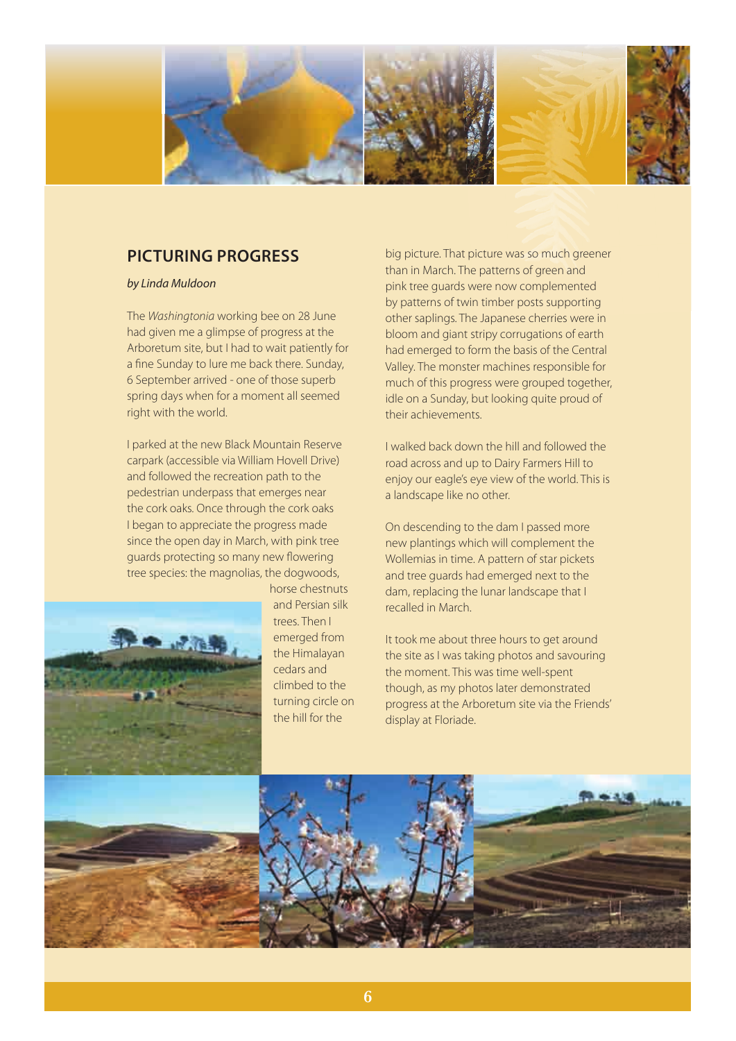

## **PICTURING PROGRESS**

### *by Linda Muldoon*

The *Washingtonia* working bee on 28 June had given me a glimpse of progress at the Arboretum site, but I had to wait patiently for a fine Sunday to lure me back there. Sunday, 6 September arrived - one of those superb spring days when for a moment all seemed right with the world.

I parked at the new Black Mountain Reserve carpark (accessible via William Hovell Drive) and followed the recreation path to the pedestrian underpass that emerges near the cork oaks. Once through the cork oaks I began to appreciate the progress made since the open day in March, with pink tree guards protecting so many new flowering tree species: the magnolias, the dogwoods,



horse chestnuts and Persian silk trees. Then I emerged from the Himalayan cedars and climbed to the turning circle on the hill for the

big picture. That picture was so much greener than in March. The patterns of green and pink tree guards were now complemented by patterns of twin timber posts supporting other saplings. The Japanese cherries were in bloom and giant stripy corrugations of earth had emerged to form the basis of the Central Valley. The monster machines responsible for much of this progress were grouped together, idle on a Sunday, but looking quite proud of their achievements.

I walked back down the hill and followed the road across and up to Dairy Farmers Hill to enjoy our eagle's eye view of the world. This is a landscape like no other.

On descending to the dam I passed more new plantings which will complement the Wollemias in time. A pattern of star pickets and tree guards had emerged next to the dam, replacing the lunar landscape that I recalled in March.

It took me about three hours to get around the site as I was taking photos and savouring the moment. This was time well-spent though, as my photos later demonstrated progress at the Arboretum site via the Friends' display at Floriade.

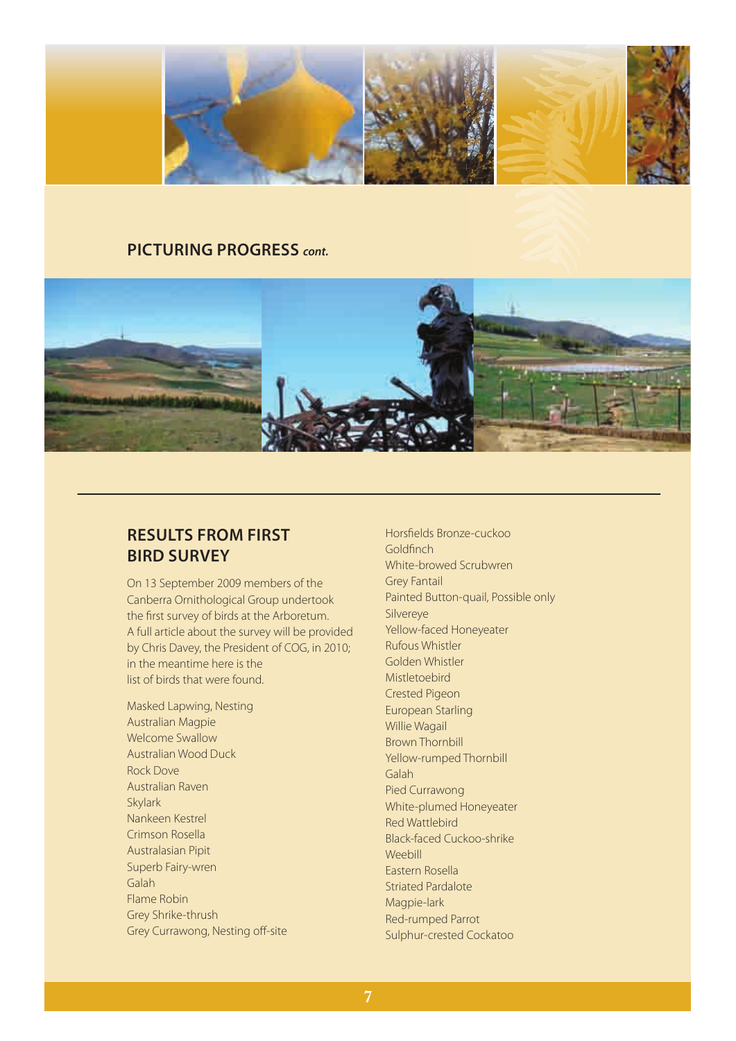

### **PICTURING PROGRESS** *cont.*



## **RESULTS FROM FIRST BIRD SURVEY**

On 13 September 2009 members of the Canberra Ornithological Group undertook the first survey of birds at the Arboretum. A full article about the survey will be provided by Chris Davey, the President of COG, in 2010; in the meantime here is the list of birds that were found.

Masked Lapwing, Nesting Australian Magpie Welcome Swallow Australian Wood Duck Rock Dove Australian Raven Skylark Nankeen Kestrel Crimson Rosella Australasian Pipit Superb Fairy-wren Galah Flame Robin Grey Shrike-thrush Grey Currawong, Nesting off-site Horsfields Bronze-cuckoo Goldfinch White-browed Scrubwren Grey Fantail Painted Button-quail, Possible only Silvereye Yellow-faced Honeyeater Rufous Whistler Golden Whistler Mistletoebird Crested Pigeon European Starling Willie Wagail Brown Thornbill Yellow-rumped Thornbill Galah Pied Currawong White-plumed Honeyeater Red Wattlebird Black-faced Cuckoo-shrike Weebill Eastern Rosella Striated Pardalote Magpie-lark Red-rumped Parrot Sulphur-crested Cockatoo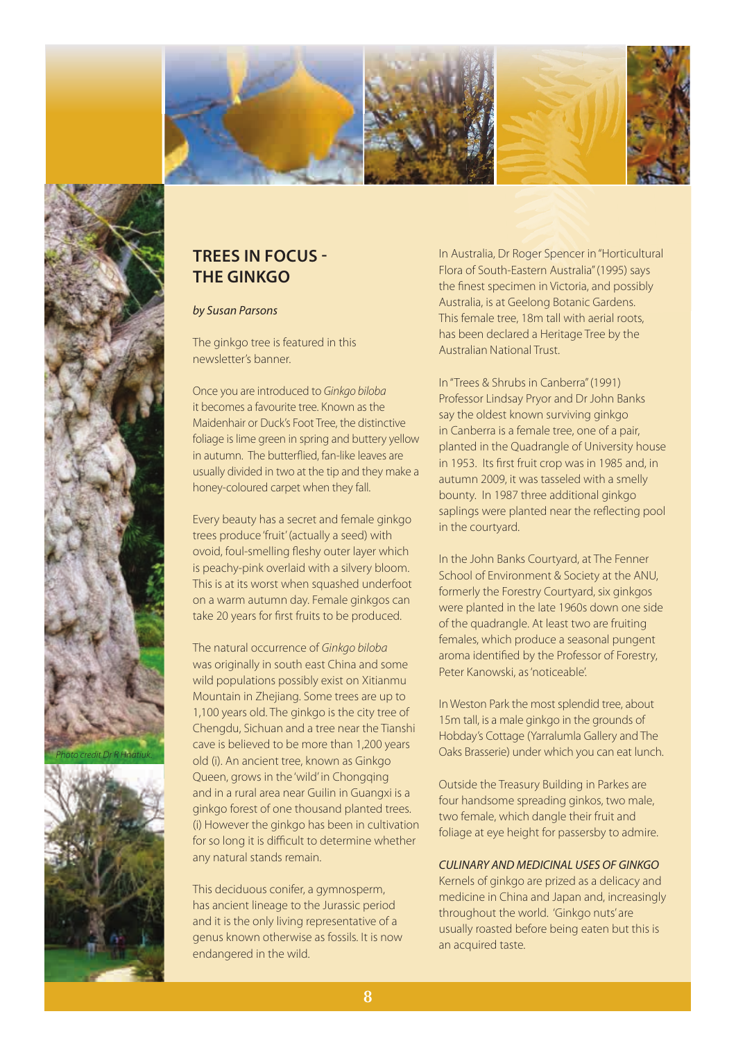





# **TREES IN FOCUS - THE GINKGO**

### *by Susan Parsons*

The ginkgo tree is featured in this newsletter's banner.

Once you are introduced to *Ginkgo biloba* it becomes a favourite tree. Known as the Maidenhair or Duck's Foot Tree, the distinctive foliage is lime green in spring and buttery yellow in autumn. The butterflied, fan-like leaves are usually divided in two at the tip and they make a honey-coloured carpet when they fall.

Every beauty has a secret and female ginkgo trees produce 'fruit' (actually a seed) with ovoid, foul-smelling fleshy outer layer which is peachy-pink overlaid with a silvery bloom. This is at its worst when squashed underfoot on a warm autumn day. Female ginkgos can take 20 years for first fruits to be produced.

The natural occurrence of *Ginkgo biloba* was originally in south east China and some wild populations possibly exist on Xitianmu Mountain in Zhejiang. Some trees are up to 1,100 years old. The ginkgo is the city tree of Chengdu, Sichuan and a tree near the Tianshi cave is believed to be more than 1,200 years old (i). An ancient tree, known as Ginkgo Queen, grows in the 'wild' in Chongqing and in a rural area near Guilin in Guangxi is a ginkgo forest of one thousand planted trees. (i) However the ginkgo has been in cultivation for so long it is difficult to determine whether any natural stands remain.

This deciduous conifer, a gymnosperm, has ancient lineage to the Jurassic period and it is the only living representative of a genus known otherwise as fossils. It is now endangered in the wild.

In Australia, Dr Roger Spencer in "Horticultural Flora of South-Eastern Australia" (1995) says the finest specimen in Victoria, and possibly Australia, is at Geelong Botanic Gardens. This female tree, 18m tall with aerial roots, has been declared a Heritage Tree by the Australian National Trust.

In "Trees & Shrubs in Canberra" (1991) Professor Lindsay Pryor and Dr John Banks say the oldest known surviving ginkgo in Canberra is a female tree, one of a pair, planted in the Quadrangle of University house in 1953. Its first fruit crop was in 1985 and, in autumn 2009, it was tasseled with a smelly bounty. In 1987 three additional ginkgo saplings were planted near the reflecting pool in the courtyard.

In the John Banks Courtyard, at The Fenner School of Environment & Society at the ANU, formerly the Forestry Courtyard, six ginkgos were planted in the late 1960s down one side of the quadrangle. At least two are fruiting females, which produce a seasonal pungent aroma identified by the Professor of Forestry, Peter Kanowski, as 'noticeable'.

In Weston Park the most splendid tree, about 15m tall, is a male ginkgo in the grounds of Hobday's Cottage (Yarralumla Gallery and The Oaks Brasserie) under which you can eat lunch.

Outside the Treasury Building in Parkes are four handsome spreading ginkos, two male, two female, which dangle their fruit and foliage at eye height for passersby to admire.

### *CULINARY AND MEDICINAL USES OF GINKGO*

Kernels of ginkgo are prized as a delicacy and medicine in China and Japan and, increasingly throughout the world. 'Ginkgo nuts' are usually roasted before being eaten but this is an acquired taste.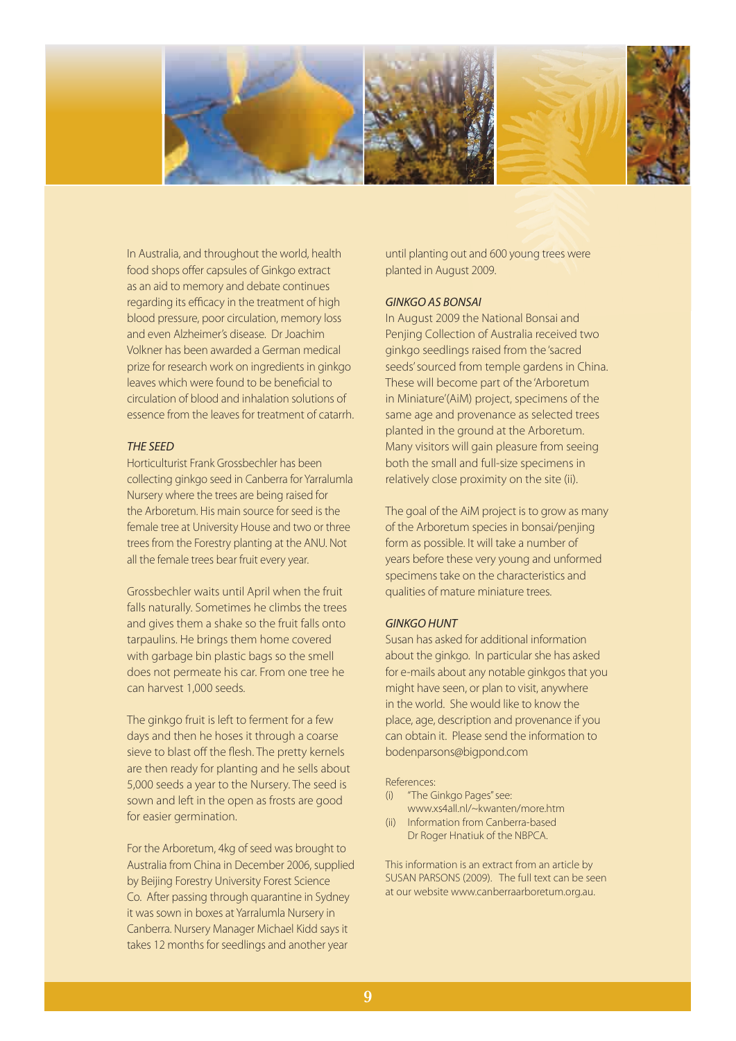

In Australia, and throughout the world, health food shops offer capsules of Ginkgo extract as an aid to memory and debate continues regarding its efficacy in the treatment of high blood pressure, poor circulation, memory loss and even Alzheimer's disease. Dr Joachim Volkner has been awarded a German medical prize for research work on ingredients in ginkgo leaves which were found to be beneficial to circulation of blood and inhalation solutions of essence from the leaves for treatment of catarrh.

#### *THE SEED*

Horticulturist Frank Grossbechler has been collecting ginkgo seed in Canberra for Yarralumla Nursery where the trees are being raised for the Arboretum. His main source for seed is the female tree at University House and two or three trees from the Forestry planting at the ANU. Not all the female trees bear fruit every year.

Grossbechler waits until April when the fruit falls naturally. Sometimes he climbs the trees and gives them a shake so the fruit falls onto tarpaulins. He brings them home covered with garbage bin plastic bags so the smell does not permeate his car. From one tree he can harvest 1,000 seeds.

The ginkgo fruit is left to ferment for a few days and then he hoses it through a coarse sieve to blast off the flesh. The pretty kernels are then ready for planting and he sells about 5,000 seeds a year to the Nursery. The seed is sown and left in the open as frosts are good for easier germination.

For the Arboretum, 4kg of seed was brought to Australia from China in December 2006, supplied by Beijing Forestry University Forest Science Co. After passing through quarantine in Sydney it was sown in boxes at Yarralumla Nursery in Canberra. Nursery Manager Michael Kidd says it takes 12 months for seedlings and another year

until planting out and 600 young trees were planted in August 2009.

### *GINKGO AS BONSAI*

In August 2009 the National Bonsai and Penjing Collection of Australia received two ginkgo seedlings raised from the 'sacred seeds' sourced from temple gardens in China. These will become part of the 'Arboretum in Miniature'(AiM) project, specimens of the same age and provenance as selected trees planted in the ground at the Arboretum. Many visitors will gain pleasure from seeing both the small and full-size specimens in relatively close proximity on the site (ii).

The goal of the AiM project is to grow as many of the Arboretum species in bonsai/penjing form as possible. It will take a number of years before these very young and unformed specimens take on the characteristics and qualities of mature miniature trees.

### *GINKGO HUNT*

Susan has asked for additional information about the ginkgo. In particular she has asked for e-mails about any notable ginkgos that you might have seen, or plan to visit, anywhere in the world. She would like to know the place, age, description and provenance if you can obtain it. Please send the information to bodenparsons@bigpond.com

#### References:

- (i) "The Ginkgo Pages" see:
- www.xs4all.nl/~kwanten/more.htm (ii) Information from Canberra-based
- Dr Roger Hnatiuk of the NBPCA.

This information is an extract from an article by SUSAN PARSONS (2009). The full text can be seen at our website www.canberraarboretum.org.au.